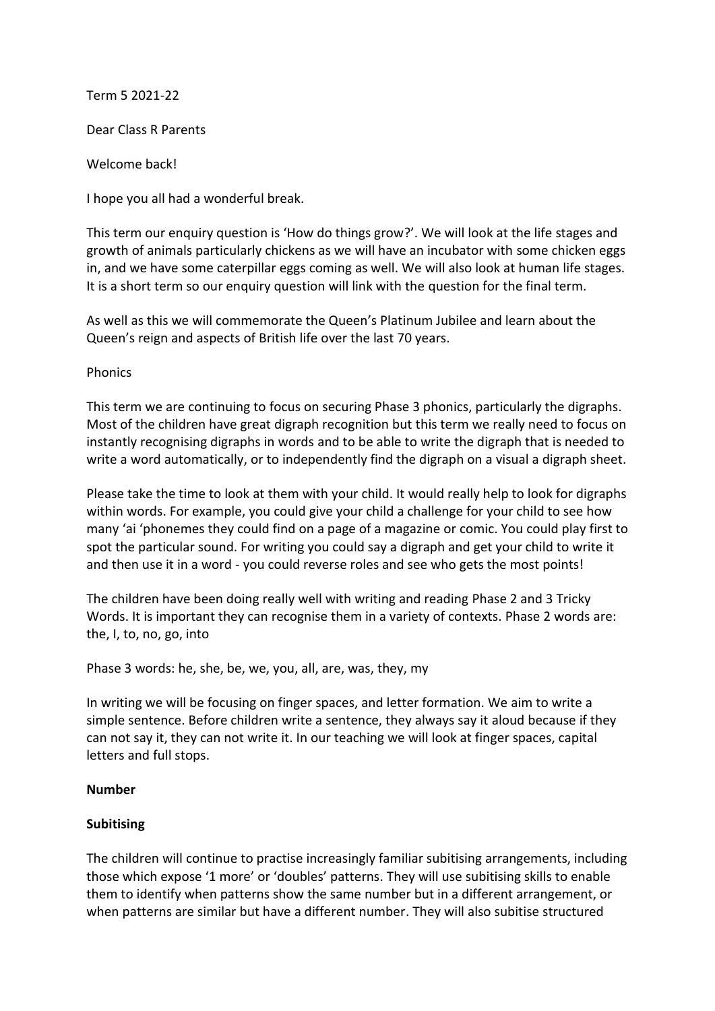### Term 5 2021-22

Dear Class R Parents

Welcome back!

I hope you all had a wonderful break.

This term our enquiry question is 'How do things grow?'. We will look at the life stages and growth of animals particularly chickens as we will have an incubator with some chicken eggs in, and we have some caterpillar eggs coming as well. We will also look at human life stages. It is a short term so our enquiry question will link with the question for the final term.

As well as this we will commemorate the Queen's Platinum Jubilee and learn about the Queen's reign and aspects of British life over the last 70 years.

Phonics

This term we are continuing to focus on securing Phase 3 phonics, particularly the digraphs. Most of the children have great digraph recognition but this term we really need to focus on instantly recognising digraphs in words and to be able to write the digraph that is needed to write a word automatically, or to independently find the digraph on a visual a digraph sheet.

Please take the time to look at them with your child. It would really help to look for digraphs within words. For example, you could give your child a challenge for your child to see how many 'ai 'phonemes they could find on a page of a magazine or comic. You could play first to spot the particular sound. For writing you could say a digraph and get your child to write it and then use it in a word - you could reverse roles and see who gets the most points!

The children have been doing really well with writing and reading Phase 2 and 3 Tricky Words. It is important they can recognise them in a variety of contexts. Phase 2 words are: the, I, to, no, go, into

Phase 3 words: he, she, be, we, you, all, are, was, they, my

In writing we will be focusing on finger spaces, and letter formation. We aim to write a simple sentence. Before children write a sentence, they always say it aloud because if they can not say it, they can not write it. In our teaching we will look at finger spaces, capital letters and full stops.

#### **Number**

# **Subitising**

The children will continue to practise increasingly familiar subitising arrangements, including those which expose '1 more' or 'doubles' patterns. They will use subitising skills to enable them to identify when patterns show the same number but in a different arrangement, or when patterns are similar but have a different number. They will also subitise structured